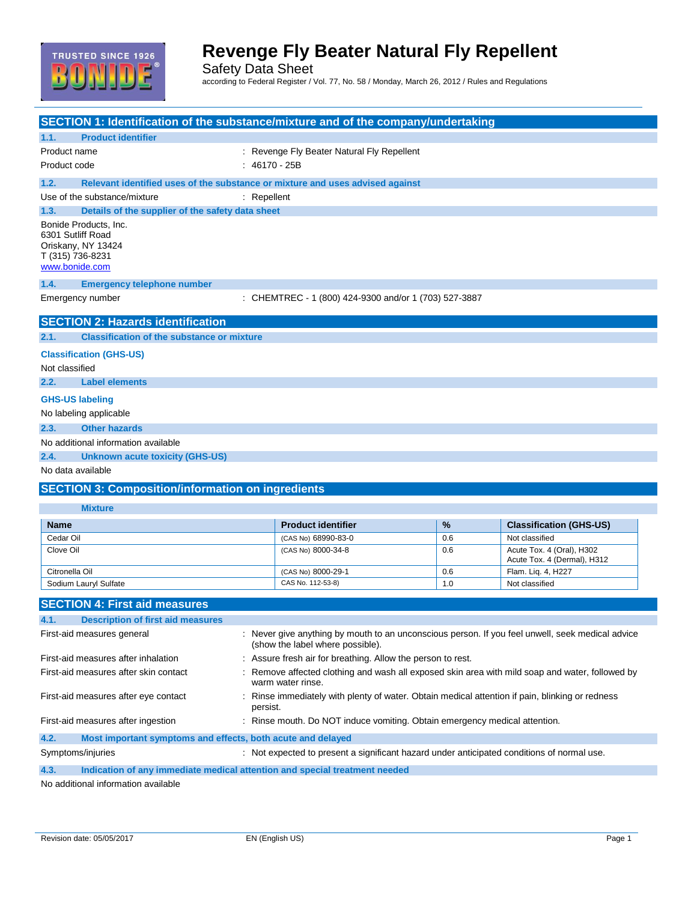

### **Revenge Fly Beater Natural Fly Repellent**

Safety Data Sheet according to Federal Register / Vol. 77, No. 58 / Monday, March 26, 2012 / Rules and Regulations

| SECTION 1: Identification of the substance/mixture and of the company/undertaking                      |                 |                                                                                                                                      |     |                                                          |  |
|--------------------------------------------------------------------------------------------------------|-----------------|--------------------------------------------------------------------------------------------------------------------------------------|-----|----------------------------------------------------------|--|
| 1.1.<br><b>Product identifier</b>                                                                      |                 |                                                                                                                                      |     |                                                          |  |
| Product name                                                                                           |                 | : Revenge Fly Beater Natural Fly Repellent                                                                                           |     |                                                          |  |
| Product code                                                                                           | $: 46170 - 25B$ |                                                                                                                                      |     |                                                          |  |
| 1.2.<br>Relevant identified uses of the substance or mixture and uses advised against                  |                 |                                                                                                                                      |     |                                                          |  |
| Use of the substance/mixture                                                                           | $:$ Repellent   |                                                                                                                                      |     |                                                          |  |
| 1.3.<br>Details of the supplier of the safety data sheet                                               |                 |                                                                                                                                      |     |                                                          |  |
| Bonide Products, Inc.<br>6301 Sutliff Road<br>Oriskany, NY 13424<br>T (315) 736-8231<br>www.bonide.com |                 |                                                                                                                                      |     |                                                          |  |
| 1.4.<br><b>Emergency telephone number</b>                                                              |                 |                                                                                                                                      |     |                                                          |  |
| Emergency number                                                                                       |                 | : CHEMTREC - 1 (800) 424-9300 and/or 1 (703) 527-3887                                                                                |     |                                                          |  |
| <b>SECTION 2: Hazards identification</b>                                                               |                 |                                                                                                                                      |     |                                                          |  |
| <b>Classification of the substance or mixture</b><br>2.1.                                              |                 |                                                                                                                                      |     |                                                          |  |
| <b>Classification (GHS-US)</b>                                                                         |                 |                                                                                                                                      |     |                                                          |  |
| Not classified                                                                                         |                 |                                                                                                                                      |     |                                                          |  |
| 2.2.<br><b>Label elements</b>                                                                          |                 |                                                                                                                                      |     |                                                          |  |
| <b>GHS-US labeling</b>                                                                                 |                 |                                                                                                                                      |     |                                                          |  |
| No labeling applicable                                                                                 |                 |                                                                                                                                      |     |                                                          |  |
| <b>Other hazards</b><br>2.3.                                                                           |                 |                                                                                                                                      |     |                                                          |  |
| No additional information available                                                                    |                 |                                                                                                                                      |     |                                                          |  |
| 2.4.<br><b>Unknown acute toxicity (GHS-US)</b>                                                         |                 |                                                                                                                                      |     |                                                          |  |
| No data available                                                                                      |                 |                                                                                                                                      |     |                                                          |  |
| <b>SECTION 3: Composition/information on ingredients</b>                                               |                 |                                                                                                                                      |     |                                                          |  |
| <b>Mixture</b>                                                                                         |                 |                                                                                                                                      |     |                                                          |  |
|                                                                                                        |                 |                                                                                                                                      |     |                                                          |  |
| <b>Name</b>                                                                                            |                 | <b>Product identifier</b>                                                                                                            | %   | <b>Classification (GHS-US)</b>                           |  |
| Cedar Oil                                                                                              |                 | (CAS No) 68990-83-0                                                                                                                  | 0.6 | Not classified                                           |  |
| Clove Oil                                                                                              |                 | (CAS No) 8000-34-8                                                                                                                   | 0.6 | Acute Tox. 4 (Oral), H302<br>Acute Tox. 4 (Dermal), H312 |  |
| Citronella Oil                                                                                         |                 | (CAS No) 8000-29-1                                                                                                                   | 0.6 | Flam. Liq. 4, H227                                       |  |
| Sodium Lauryl Sulfate                                                                                  |                 | CAS No. 112-53-8)                                                                                                                    | 1.0 | Not classified                                           |  |
| <b>SECTION 4: First aid measures</b>                                                                   |                 |                                                                                                                                      |     |                                                          |  |
|                                                                                                        |                 |                                                                                                                                      |     |                                                          |  |
| 4.1.<br><b>Description of first aid measures</b>                                                       |                 |                                                                                                                                      |     |                                                          |  |
| First-aid measures general                                                                             |                 | : Never give anything by mouth to an unconscious person. If you feel unwell, seek medical advice<br>(show the label where possible). |     |                                                          |  |
| First-aid measures after inhalation                                                                    |                 | : Assure fresh air for breathing. Allow the person to rest.                                                                          |     |                                                          |  |
| First-aid measures after skin contact                                                                  |                 | Remove affected clothing and wash all exposed skin area with mild soap and water, followed by<br>warm water rinse.                   |     |                                                          |  |
| First-aid measures after eye contact                                                                   | persist.        | Rinse immediately with plenty of water. Obtain medical attention if pain, blinking or redness                                        |     |                                                          |  |
| First-aid measures after ingestion                                                                     |                 | : Rinse mouth. Do NOT induce vomiting. Obtain emergency medical attention.                                                           |     |                                                          |  |
| 4.2.<br>Most important symptoms and effects, both acute and delayed                                    |                 |                                                                                                                                      |     |                                                          |  |
| Symptoms/injuries                                                                                      |                 | : Not expected to present a significant hazard under anticipated conditions of normal use.                                           |     |                                                          |  |
|                                                                                                        |                 |                                                                                                                                      |     |                                                          |  |

**4.3. Indication of any immediate medical attention and special treatment needed**

No additional information available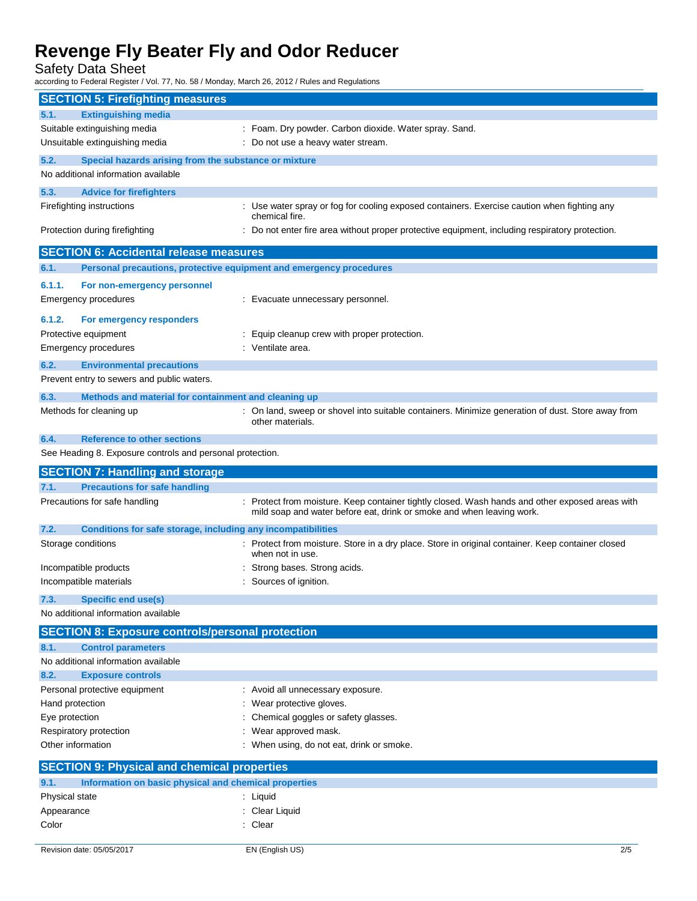Safety Data Sheet

according to Federal Register / Vol. 77, No. 58 / Monday, March 26, 2012 / Rules and Regulations

| <b>SECTION 5: Firefighting measures</b>                                                 |                                                                                                                                                                          |
|-----------------------------------------------------------------------------------------|--------------------------------------------------------------------------------------------------------------------------------------------------------------------------|
| <b>Extinguishing media</b><br>5.1.                                                      |                                                                                                                                                                          |
| Suitable extinguishing media                                                            | : Foam. Dry powder. Carbon dioxide. Water spray. Sand.                                                                                                                   |
| Unsuitable extinguishing media                                                          | : Do not use a heavy water stream.                                                                                                                                       |
| 5.2.<br>Special hazards arising from the substance or mixture                           |                                                                                                                                                                          |
| No additional information available                                                     |                                                                                                                                                                          |
| 5.3.<br><b>Advice for firefighters</b>                                                  |                                                                                                                                                                          |
| Firefighting instructions                                                               | : Use water spray or fog for cooling exposed containers. Exercise caution when fighting any                                                                              |
|                                                                                         | chemical fire.                                                                                                                                                           |
| Protection during firefighting                                                          | : Do not enter fire area without proper protective equipment, including respiratory protection.                                                                          |
| <b>SECTION 6: Accidental release measures</b>                                           |                                                                                                                                                                          |
| 6.1.                                                                                    | Personal precautions, protective equipment and emergency procedures                                                                                                      |
| 6.1.1.<br>For non-emergency personnel                                                   |                                                                                                                                                                          |
| Emergency procedures                                                                    | : Evacuate unnecessary personnel.                                                                                                                                        |
| 6.1.2.<br>For emergency responders                                                      |                                                                                                                                                                          |
| Protective equipment                                                                    | : Equip cleanup crew with proper protection.                                                                                                                             |
| Emergency procedures                                                                    | : Ventilate area.                                                                                                                                                        |
| 6.2.                                                                                    |                                                                                                                                                                          |
| <b>Environmental precautions</b><br>Prevent entry to sewers and public waters.          |                                                                                                                                                                          |
|                                                                                         |                                                                                                                                                                          |
| 6.3.<br>Methods and material for containment and cleaning up<br>Methods for cleaning up | : On land, sweep or shovel into suitable containers. Minimize generation of dust. Store away from                                                                        |
|                                                                                         | other materials.                                                                                                                                                         |
| <b>Reference to other sections</b><br>6.4.                                              |                                                                                                                                                                          |
| See Heading 8. Exposure controls and personal protection.                               |                                                                                                                                                                          |
|                                                                                         |                                                                                                                                                                          |
| <b>SECTION 7: Handling and storage</b>                                                  |                                                                                                                                                                          |
| <b>Precautions for safe handling</b><br>7.1.                                            |                                                                                                                                                                          |
| Precautions for safe handling                                                           | : Protect from moisture. Keep container tightly closed. Wash hands and other exposed areas with<br>mild soap and water before eat, drink or smoke and when leaving work. |
| 7.2.<br>Conditions for safe storage, including any incompatibilities                    |                                                                                                                                                                          |
| Storage conditions                                                                      | : Protect from moisture. Store in a dry place. Store in original container. Keep container closed<br>when not in use.                                                    |
| Incompatible products                                                                   | Strong bases. Strong acids.                                                                                                                                              |
| Incompatible materials                                                                  | Sources of ignition.                                                                                                                                                     |
| <b>Specific end use(s)</b><br>7.3.                                                      |                                                                                                                                                                          |
| No additional information available                                                     |                                                                                                                                                                          |
| <b>SECTION 8: Exposure controls/personal protection</b>                                 |                                                                                                                                                                          |
| 8.1.<br><b>Control parameters</b>                                                       |                                                                                                                                                                          |
| No additional information available                                                     |                                                                                                                                                                          |
| 8.2.<br><b>Exposure controls</b>                                                        |                                                                                                                                                                          |
| Personal protective equipment                                                           | : Avoid all unnecessary exposure.                                                                                                                                        |
| Hand protection                                                                         | Wear protective gloves.                                                                                                                                                  |
| Eye protection                                                                          | Chemical goggles or safety glasses.                                                                                                                                      |
| Respiratory protection                                                                  | Wear approved mask.                                                                                                                                                      |
| Other information                                                                       | : When using, do not eat, drink or smoke.                                                                                                                                |
| <b>SECTION 9: Physical and chemical properties</b>                                      |                                                                                                                                                                          |
| Information on basic physical and chemical properties<br>9.1.                           |                                                                                                                                                                          |
| Physical state                                                                          | : Liquid                                                                                                                                                                 |
| Appearance<br>Color                                                                     | : Clear Liquid<br>: Clear                                                                                                                                                |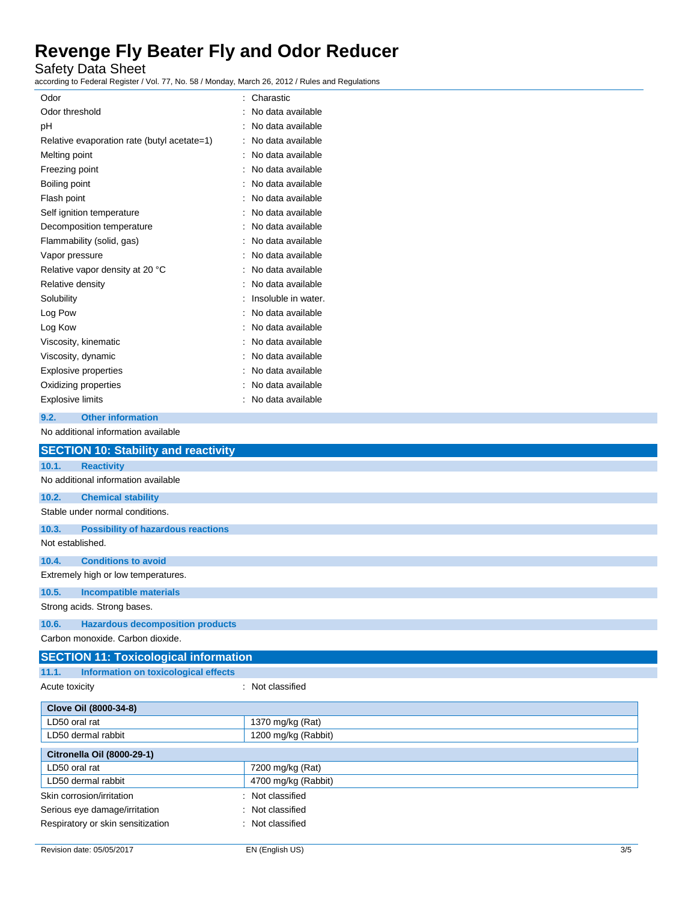Safety Data Sheet

according to Federal Register / Vol. 77, No. 58 / Monday, March 26, 2012 / Rules and Regulations

| Odor                    |                                             | Charastic           |
|-------------------------|---------------------------------------------|---------------------|
| Odor threshold          |                                             | No data available   |
| рH                      |                                             | No data available   |
|                         | Relative evaporation rate (butyl acetate=1) | No data available   |
| Melting point           |                                             | No data available   |
| Freezing point          |                                             | No data available   |
| Boiling point           |                                             | No data available   |
| Flash point             |                                             | No data available   |
|                         | Self ignition temperature                   | No data available   |
|                         | Decomposition temperature                   | No data available   |
|                         | Flammability (solid, gas)                   | No data available   |
| Vapor pressure          |                                             | No data available   |
|                         | Relative vapor density at 20 °C             | No data available   |
| Relative density        |                                             | No data available   |
| Solubility              |                                             | Insoluble in water. |
| Log Pow                 |                                             | No data available   |
| Log Kow                 |                                             | No data available   |
|                         | Viscosity, kinematic                        | No data available   |
| Viscosity, dynamic      |                                             | No data available   |
|                         | <b>Explosive properties</b>                 | No data available   |
|                         | Oxidizing properties                        | No data available   |
| <b>Explosive limits</b> |                                             | No data available   |
| 9.2.                    | <b>Other information</b>                    |                     |

No additional information available

|                  | <b>SECTION 10: Stability and reactivity</b>  |                     |  |
|------------------|----------------------------------------------|---------------------|--|
|                  |                                              |                     |  |
| 10.1.            | <b>Reactivity</b>                            |                     |  |
|                  | No additional information available          |                     |  |
| 10.2.            | <b>Chemical stability</b>                    |                     |  |
|                  | Stable under normal conditions.              |                     |  |
| 10.3.            | <b>Possibility of hazardous reactions</b>    |                     |  |
| Not established. |                                              |                     |  |
| 10.4.            | <b>Conditions to avoid</b>                   |                     |  |
|                  | Extremely high or low temperatures.          |                     |  |
| 10.5.            | <b>Incompatible materials</b>                |                     |  |
|                  | Strong acids. Strong bases.                  |                     |  |
| 10.6.            | <b>Hazardous decomposition products</b>      |                     |  |
|                  | Carbon monoxide, Carbon dioxide.             |                     |  |
|                  | <b>SECTION 11: Toxicological information</b> |                     |  |
| 11.1.            | <b>Information on toxicological effects</b>  |                     |  |
| Acute toxicity   |                                              | : Not classified    |  |
|                  | Clove Oil (8000-34-8)                        |                     |  |
| LD50 oral rat    |                                              | 1370 mg/kg (Rat)    |  |
|                  | LD50 dermal rabbit                           | 1200 mg/kg (Rabbit) |  |
|                  | <b>Citronella Oil (8000-29-1)</b>            |                     |  |
| LD50 oral rat    |                                              | 7200 mg/kg (Rat)    |  |
|                  | LD50 dermal rabbit                           | 4700 mg/kg (Rabbit) |  |
|                  | Skin corrosion/irritation                    | : Not classified    |  |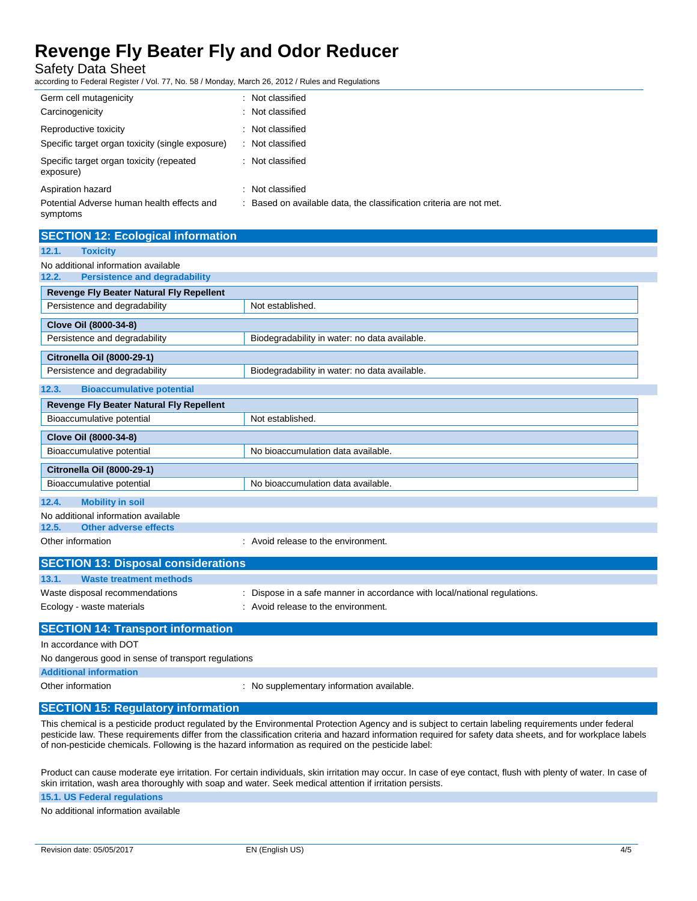Safety Data Sheet

according to Federal Register / Vol. 77, No. 58 / Monday, March 26, 2012 / Rules and Regulations

| Germ cell mutagenicity                                 | : Not classified                                                    |
|--------------------------------------------------------|---------------------------------------------------------------------|
| Carcinogenicity                                        | : Not classified                                                    |
| Reproductive toxicity                                  | : Not classified                                                    |
| Specific target organ toxicity (single exposure)       | : Not classified                                                    |
| Specific target organ toxicity (repeated<br>exposure)  | : Not classified                                                    |
| Aspiration hazard                                      | Not classified                                                      |
| Potential Adverse human health effects and<br>symptoms | : Based on available data, the classification criteria are not met. |

| <b>SECTION 12: Ecological information</b>       |                                               |
|-------------------------------------------------|-----------------------------------------------|
| 12.1.<br><b>Toxicity</b>                        |                                               |
| No additional information available             |                                               |
| 12.2.<br><b>Persistence and degradability</b>   |                                               |
| <b>Revenge Fly Beater Natural Fly Repellent</b> |                                               |
| Persistence and degradability                   | Not established.                              |
| Clove Oil (8000-34-8)                           |                                               |
| Persistence and degradability                   | Biodegradability in water: no data available. |
| Citronella Oil (8000-29-1)                      |                                               |
| Persistence and degradability                   | Biodegradability in water: no data available. |
| <b>Bioaccumulative potential</b><br>12.3.       |                                               |
| <b>Revenge Fly Beater Natural Fly Repellent</b> |                                               |
| Bioaccumulative potential                       | Not established.                              |
| Clove Oil (8000-34-8)                           |                                               |
| Bioaccumulative potential                       | No bioaccumulation data available.            |
| <b>Citronella Oil (8000-29-1)</b>               |                                               |
| Bioaccumulative potential                       | No bioaccumulation data available.            |
| <b>Mobility in soil</b><br>12.4.                |                                               |
| No additional information available             |                                               |
| <b>Other adverse effects</b><br>12.5.           |                                               |
| Other information                               | : Avoid release to the environment.           |

| <b>SECTION 13: Disposal considerations</b> |                                                                           |
|--------------------------------------------|---------------------------------------------------------------------------|
| 13.1.<br>Waste treatment methods           |                                                                           |
| Waste disposal recommendations             | : Dispose in a safe manner in accordance with local/national regulations. |
| Ecology - waste materials                  | : Avoid release to the environment.                                       |
| <b>SECTION 14: Transport information</b>   |                                                                           |

In accordance with DOT

No dangerous good in sense of transport regulations

**Additional information**

Other information **contracts** : No supplementary information available.

### **SECTION 15: Regulatory information**

This chemical is a pesticide product regulated by the Environmental Protection Agency and is subject to certain labeling requirements under federal pesticide law. These requirements differ from the classification criteria and hazard information required for safety data sheets, and for workplace labels of non-pesticide chemicals. Following is the hazard information as required on the pesticide label:

Product can cause moderate eye irritation. For certain individuals, skin irritation may occur. In case of eye contact, flush with plenty of water. In case of skin irritation, wash area thoroughly with soap and water. Seek medical attention if irritation persists.

**15.1. US Federal regulations**

No additional information available